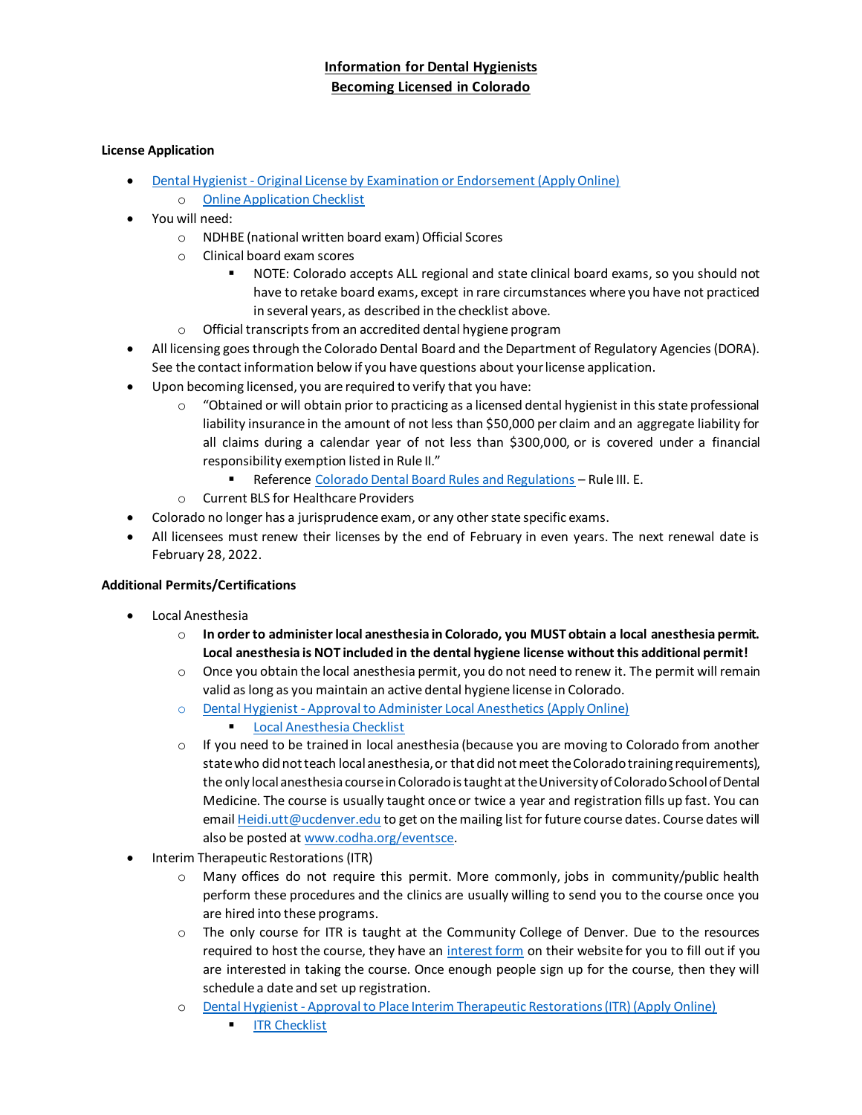# **Information for Dental Hygienists Becoming Licensed in Colorado**

### **License Application**

- Dental Hygienist [Original License by Examination or Endorsement \(Apply Online\)](https://apps.colorado.gov/dora/licensing/Default.aspx)
	- o [Online Application Checklist](https://drive.google.com/file/d/0BzKoVwvexVATWGJsRW1KeHZYRzA/view?usp=sharing)
- You will need:
	- o NDHBE (national written board exam) Official Scores
	- o Clinical board exam scores
		- NOTE: Colorado accepts ALL regional and state clinical board exams, so you should not have to retake board exams, except in rare circumstances where you have not practiced in several years, as described in the checklist above.
	- o Official transcripts from an accredited dental hygiene program
- All licensing goes through the Colorado Dental Board and the Department of Regulatory Agencies (DORA). See the contact information below if you have questions about your license application.
- Upon becoming licensed, you are required to verify that you have:
	- $\circ$  "Obtained or will obtain prior to practicing as a licensed dental hygienist in this state professional liability insurance in the amount of not less than \$50,000 per claim and an aggregate liability for all claims during a calendar year of not less than \$300,000, or is covered under a financial responsibility exemption listed in Rule II."
		- Reference [Colorado Dental Board Rules and Regulations](http://codha.org/wp-content/uploads/2015/02/Dental-Board-Rules-and-Regulations-07.01.2019.pdf) Rule III. E.
	- o Current BLS for Healthcare Providers
- Colorado no longer has a jurisprudence exam, or any other state specific exams.
- All licensees must renew their licenses by the end of February in even years. The next renewal date is February 28, 2022.

## **Additional Permits/Certifications**

- Local Anesthesia
	- o **In order to administer local anesthesia in Colorado, you MUST obtain a local anesthesia permit. Local anesthesia is NOT included in the dental hygiene license without this additional permit!**
	- $\circ$  Once you obtain the local anesthesia permit, you do not need to renew it. The permit will remain valid as long as you maintain an active dental hygiene license in Colorado.
	- o Dental Hygienist [Approval to Administer Local Anesthetics \(Apply Online\)](https://apps.colorado.gov/dora/licensing/Default.aspx)
		- [Local Anesthesia Checklist](https://drive.google.com/file/d/0BzKoVwvexVATZ2RDbjJDWVg3MG8/view?usp=sharing)
	- $\circ$  If you need to be trained in local anesthesia (because you are moving to Colorado from another state who did not teach local anesthesia, or that did not meet the Colorado training requirements), the only local anesthesia course in Colorado is taught at the University of Colorado School of Dental Medicine. The course is usually taught once or twice a year and registration fills up fast. You can emai[l Heidi.utt@ucdenver.edu](mailto:Heidi.utt@ucdenver.edu) to get on the mailing list for future course dates. Course dates will also be posted a[t www.codha.org/eventsce.](http://www.codha.org/eventsce)
- Interim Therapeutic Restorations (ITR)
	- o Many offices do not require this permit. More commonly, jobs in community/public health perform these procedures and the clinics are usually willing to send you to the course once you are hired into these programs.
	- $\circ$  The only course for ITR is taught at the Community College of Denver. Due to the resources required to host the course, they have an [interest form](https://www.ccd.edu/academics/centers/health-sciences-lowry/programs-study/dental-hygiene/register-continuing-education) on their website for you to fill out if you are interested in taking the course. Once enough people sign up for the course, then they will schedule a date and set up registration.
	- o Dental Hygienist [Approval to Place Interim Therapeutic Restorations \(ITR\) \(Apply Online\)](https://apps.colorado.gov/dora/licensing/Default.aspx)
		- **[ITR Checklist](https://drive.google.com/file/d/0BzKoVwvexVATeXJLUGlZcGw2VGc/view?usp=sharing)**